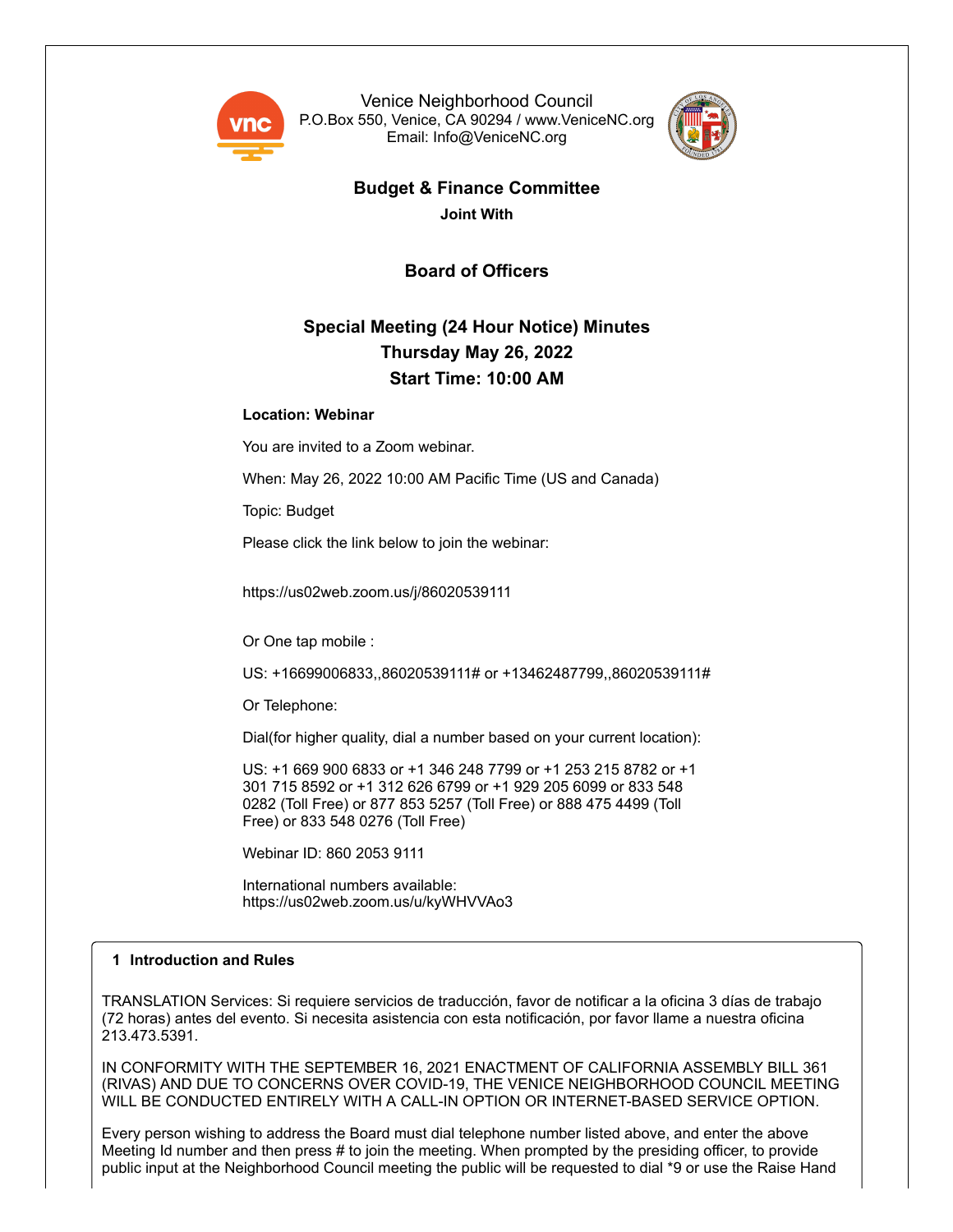

Venice Neighborhood Council P.O.Box 550, Venice, CA 90294 / www.VeniceNC.org Email: Info@VeniceNC.org



# **Budget & Finance Committee**

**Joint With**

**Board of Officers**

# **Special Meeting (24 Hour Notice) Minutes Thursday May 26, 2022 Start Time: 10:00 AM**

# **Location: Webinar**

You are invited to a Zoom webinar.

When: May 26, 2022 10:00 AM Pacific Time (US and Canada)

Topic: Budget

Please click the link below to join the webinar:

https://us02web.zoom.us/j/86020539111

Or One tap mobile :

US: +16699006833,,86020539111# or +13462487799,,86020539111#

Or Telephone:

Dial(for higher quality, dial a number based on your current location):

US: +1 669 900 6833 or +1 346 248 7799 or +1 253 215 8782 or +1 301 715 8592 or +1 312 626 6799 or +1 929 205 6099 or 833 548 0282 (Toll Free) or 877 853 5257 (Toll Free) or 888 475 4499 (Toll Free) or 833 548 0276 (Toll Free)

Webinar ID: 860 2053 9111

International numbers available: https://us02web.zoom.us/u/kyWHVVAo3

# **1 Introduction and Rules**

TRANSLATION Services: Si requiere servicios de traducción, favor de notificar a la oficina 3 días de trabajo (72 horas) antes del evento. Si necesita asistencia con esta notificación, por favor llame a nuestra oficina 213.473.5391.

IN CONFORMITY WITH THE SEPTEMBER 16, 2021 ENACTMENT OF CALIFORNIA ASSEMBLY BILL 361 (RIVAS) AND DUE TO CONCERNS OVER COVID-19, THE VENICE NEIGHBORHOOD COUNCIL MEETING WILL BE CONDUCTED ENTIRELY WITH A CALL-IN OPTION OR INTERNET-BASED SERVICE OPTION.

Every person wishing to address the Board must dial telephone number listed above, and enter the above Meeting Id number and then press # to join the meeting. When prompted by the presiding officer, to provide public input at the Neighborhood Council meeting the public will be requested to dial \*9 or use the Raise Hand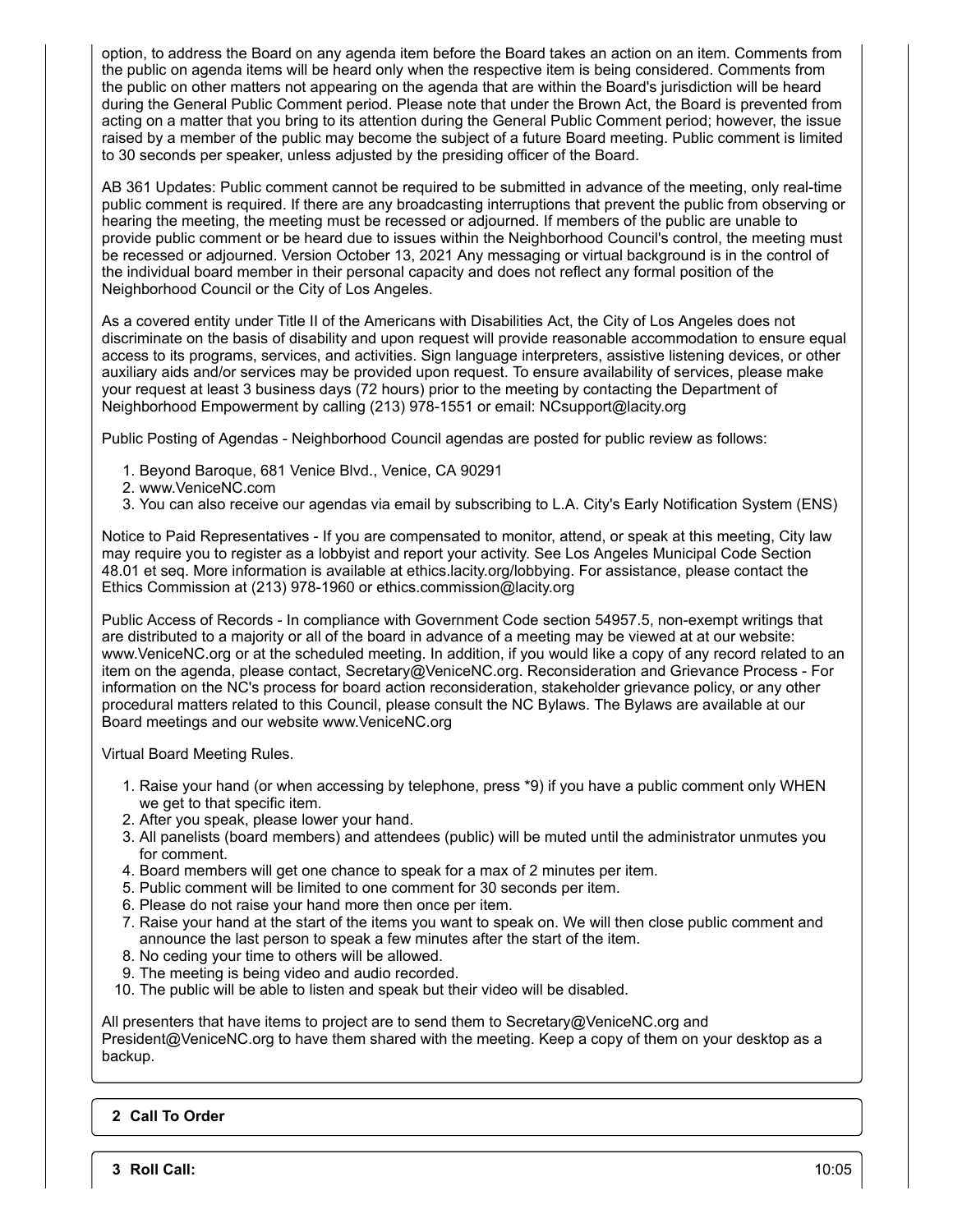option, to address the Board on any agenda item before the Board takes an action on an item. Comments from the public on agenda items will be heard only when the respective item is being considered. Comments from the public on other matters not appearing on the agenda that are within the Board's jurisdiction will be heard during the General Public Comment period. Please note that under the Brown Act, the Board is prevented from acting on a matter that you bring to its attention during the General Public Comment period; however, the issue raised by a member of the public may become the subject of a future Board meeting. Public comment is limited to 30 seconds per speaker, unless adjusted by the presiding officer of the Board.

AB 361 Updates: Public comment cannot be required to be submitted in advance of the meeting, only real-time public comment is required. If there are any broadcasting interruptions that prevent the public from observing or hearing the meeting, the meeting must be recessed or adjourned. If members of the public are unable to provide public comment or be heard due to issues within the Neighborhood Council's control, the meeting must be recessed or adjourned. Version October 13, 2021 Any messaging or virtual background is in the control of the individual board member in their personal capacity and does not reflect any formal position of the Neighborhood Council or the City of Los Angeles.

As a covered entity under Title II of the Americans with Disabilities Act, the City of Los Angeles does not discriminate on the basis of disability and upon request will provide reasonable accommodation to ensure equal access to its programs, services, and activities. Sign language interpreters, assistive listening devices, or other auxiliary aids and/or services may be provided upon request. To ensure availability of services, please make your request at least 3 business days (72 hours) prior to the meeting by contacting the Department of Neighborhood Empowerment by calling (213) 978-1551 or email: NCsupport@lacity.org

Public Posting of Agendas - Neighborhood Council agendas are posted for public review as follows:

- 1. Beyond Baroque, 681 Venice Blvd., Venice, CA 90291
- 2. www.VeniceNC.com
- 3. You can also receive our agendas via email by subscribing to L.A. City's Early Notification System (ENS)

Notice to Paid Representatives - If you are compensated to monitor, attend, or speak at this meeting, City law may require you to register as a lobbyist and report your activity. See Los Angeles Municipal Code Section 48.01 et seq. More information is available at ethics.lacity.org/lobbying. For assistance, please contact the Ethics Commission at (213) 978-1960 or ethics.commission@lacity.org

Public Access of Records - In compliance with Government Code section 54957.5, non-exempt writings that are distributed to a majority or all of the board in advance of a meeting may be viewed at at our website: www.VeniceNC.org or at the scheduled meeting. In addition, if you would like a copy of any record related to an item on the agenda, please contact, Secretary@VeniceNC.org. Reconsideration and Grievance Process - For information on the NC's process for board action reconsideration, stakeholder grievance policy, or any other procedural matters related to this Council, please consult the NC Bylaws. The Bylaws are available at our Board meetings and our website www.VeniceNC.org

Virtual Board Meeting Rules.

- 1. Raise your hand (or when accessing by telephone, press \*9) if you have a public comment only WHEN we get to that specific item.
- 2. After you speak, please lower your hand.
- 3. All panelists (board members) and attendees (public) will be muted until the administrator unmutes you for comment.
- 4. Board members will get one chance to speak for a max of 2 minutes per item.
- 5. Public comment will be limited to one comment for 30 seconds per item.
- 6. Please do not raise your hand more then once per item.
- 7. Raise your hand at the start of the items you want to speak on. We will then close public comment and announce the last person to speak a few minutes after the start of the item.
- 8. No ceding your time to others will be allowed.
- 9. The meeting is being video and audio recorded.
- 10. The public will be able to listen and speak but their video will be disabled.

All presenters that have items to project are to send them to Secretary $@V$ eniceNC.org and President@VeniceNC.org to have them shared with the meeting. Keep a copy of them on your desktop as a backup.

# **2 Call To Order**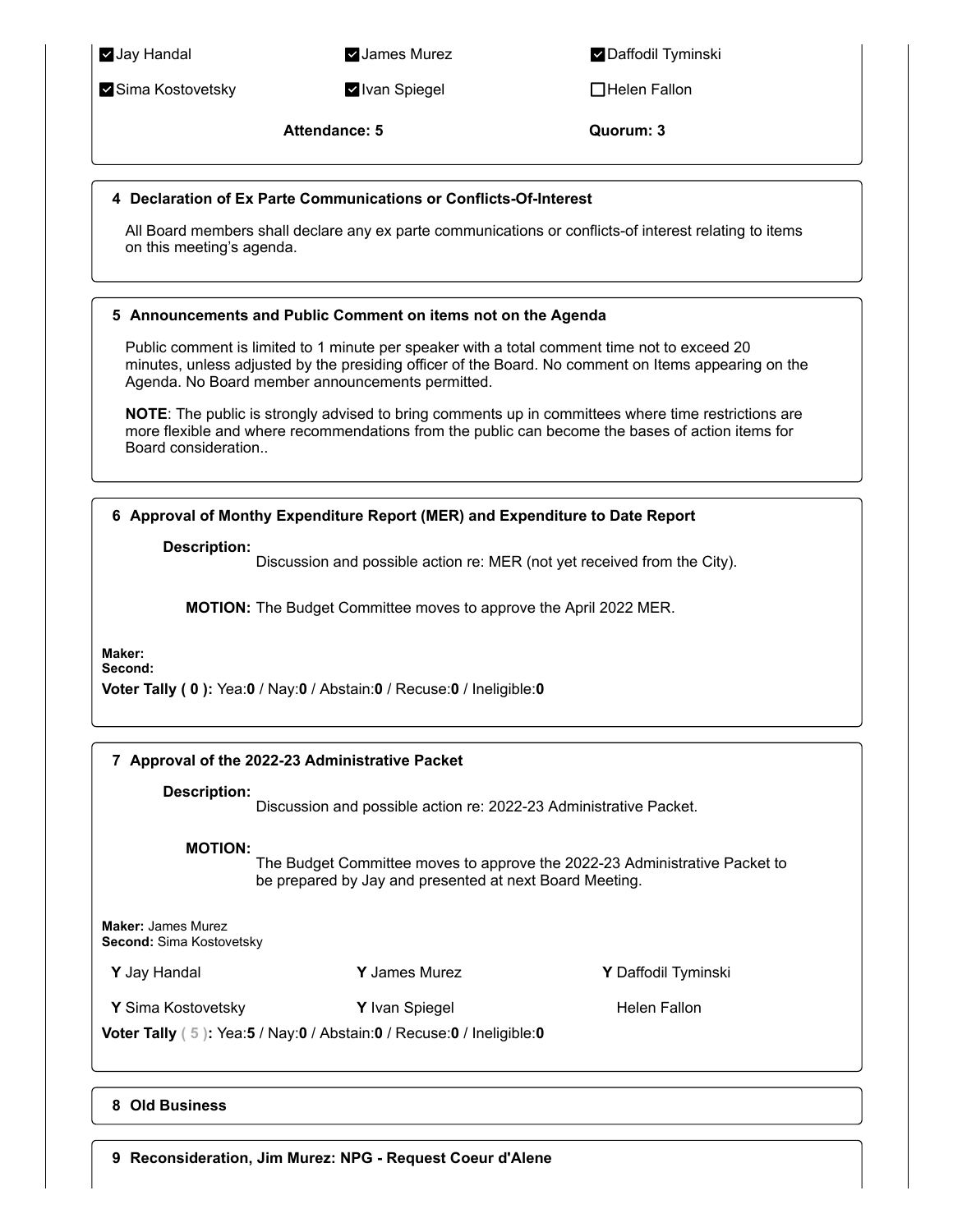**Zima Kostovetsky Ivan Spiegel Ivan Spiegel Ivan Spiegel** Helen Fallon

**Jay Handal Music Communisties Additional Properties Additional Properties Additional Properties Additional Properties Additional Properties Additional Properties Additional Properties Additional Properties Additional Prop** 

**Attendance: 5 Quorum: 3**

# **4 Declaration of Ex Parte Communications or Conflicts-Of-Interest**

All Board members shall declare any ex parte communications or conflicts-of interest relating to items on this meeting's agenda.

# **5 Announcements and Public Comment on items not on the Agenda**

Public comment is limited to 1 minute per speaker with a total comment time not to exceed 20 minutes, unless adjusted by the presiding officer of the Board. No comment on Items appearing on the Agenda. No Board member announcements permitted.

**NOTE**: The public is strongly advised to bring comments up in committees where time restrictions are more flexible and where recommendations from the public can become the bases of action items for Board consideration..

**6 Approval of Monthy Expenditure Report (MER) and Expenditure to Date Report**

**Description:**

Discussion and possible action re: MER (not yet received from the City).

**MOTION:** The Budget Committee moves to approve the April 2022 MER.

**Maker:**

**Second:**

**Voter Tally ( 0 ):** Yea:**0** / Nay:**0** / Abstain:**0** / Recuse:**0** / Ineligible:**0**

# **7 Approval of the 2022-23 Administrative Packet**

**Description:**

Discussion and possible action re: 2022-23 Administrative Packet.

**MOTION:**

The Budget Committee moves to approve the 2022-23 Administrative Packet to be prepared by Jay and presented at next Board Meeting.

**Maker:** James Murez **Second:** Sima Kostovetsky

**Y** Jay Handal **Y** James Murez **Y** Daffodil Tyminski

**Y** Sima Kostovetsky **Y** Ivan Spiegel **Helen Fallon** 

**Voter Tally ( 5 ):** Yea:**5** / Nay:**0** / Abstain:**0** / Recuse:**0** / Ineligible:**0**

**8 Old Business**

**9 Reconsideration, Jim Murez: NPG - Request Coeur d'Alene**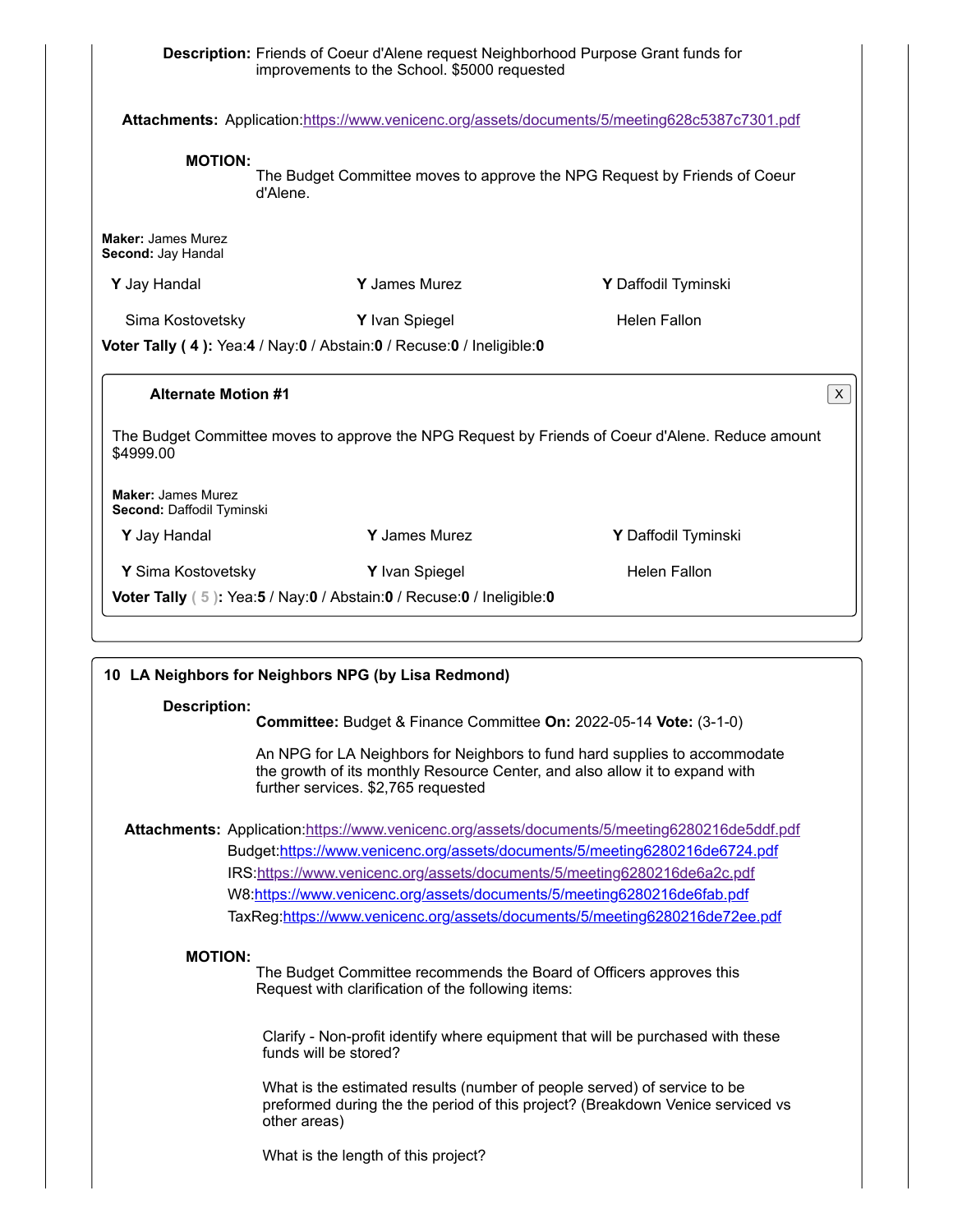|                                                        |                       | improvements to the School. \$5000 requested                             | Description: Friends of Coeur d'Alene request Neighborhood Purpose Grant funds for                                                                                           |  |
|--------------------------------------------------------|-----------------------|--------------------------------------------------------------------------|------------------------------------------------------------------------------------------------------------------------------------------------------------------------------|--|
|                                                        |                       |                                                                          | Attachments: Application:https://www.venicenc.org/assets/documents/5/meeting628c5387c7301.pdf                                                                                |  |
| <b>MOTION:</b>                                         | d'Alene.              |                                                                          | The Budget Committee moves to approve the NPG Request by Friends of Coeur                                                                                                    |  |
| <b>Maker: James Murez</b><br>Second: Jay Handal        |                       |                                                                          |                                                                                                                                                                              |  |
| Y Jay Handal                                           |                       | <b>Y</b> James Murez                                                     | Y Daffodil Tyminski                                                                                                                                                          |  |
| Sima Kostovetsky                                       |                       | Y Ivan Spiegel                                                           | <b>Helen Fallon</b>                                                                                                                                                          |  |
|                                                        |                       | Voter Tally (4): Yea:4 / Nay:0 / Abstain:0 / Recuse:0 / Ineligible:0     |                                                                                                                                                                              |  |
|                                                        |                       |                                                                          |                                                                                                                                                                              |  |
| <b>Alternate Motion #1</b>                             |                       |                                                                          | X.                                                                                                                                                                           |  |
| \$4999.00                                              |                       |                                                                          | The Budget Committee moves to approve the NPG Request by Friends of Coeur d'Alene. Reduce amount                                                                             |  |
| <b>Maker: James Murez</b><br>Second: Daffodil Tyminski |                       |                                                                          |                                                                                                                                                                              |  |
| Y Jay Handal                                           |                       | Y James Murez                                                            | Y Daffodil Tyminski                                                                                                                                                          |  |
| Y Sima Kostovetsky                                     |                       | Y Ivan Spiegel                                                           | <b>Helen Fallon</b>                                                                                                                                                          |  |
|                                                        |                       | Voter Tally (5): Yea:5 / Nay:0 / Abstain:0 / Recuse:0 / Ineligible:0     |                                                                                                                                                                              |  |
| <b>Description:</b>                                    |                       | 10 LA Neighbors for Neighbors NPG (by Lisa Redmond)                      | Committee: Budget & Finance Committee On: 2022-05-14 Vote: (3-1-0)                                                                                                           |  |
|                                                        |                       | further services. \$2,765 requested                                      | An NPG for LA Neighbors for Neighbors to fund hard supplies to accommodate<br>the growth of its monthly Resource Center, and also allow it to expand with                    |  |
|                                                        |                       |                                                                          | Attachments: Application:https://www.venicenc.org/assets/documents/5/meeting6280216de5ddf.pdf<br>Budget:https://www.venicenc.org/assets/documents/5/meeting6280216de6724.pdf |  |
|                                                        |                       | IRS:https://www.venicenc.org/assets/documents/5/meeting6280216de6a2c.pdf |                                                                                                                                                                              |  |
|                                                        |                       |                                                                          | W8:https://www.venicenc.org/assets/documents/5/meeting6280216de6fab.pdf<br>TaxReg:https://www.venicenc.org/assets/documents/5/meeting6280216de72ee.pdf                       |  |
|                                                        |                       |                                                                          |                                                                                                                                                                              |  |
| <b>MOTION:</b>                                         |                       | Request with clarification of the following items:                       | The Budget Committee recommends the Board of Officers approves this                                                                                                          |  |
|                                                        | funds will be stored? |                                                                          | Clarify - Non-profit identify where equipment that will be purchased with these                                                                                              |  |
|                                                        |                       |                                                                          | What is the estimated results (number of people served) of service to be                                                                                                     |  |

preformed during the the period of this project? (Breakdown Venice serviced vs other areas)

What is the length of this project?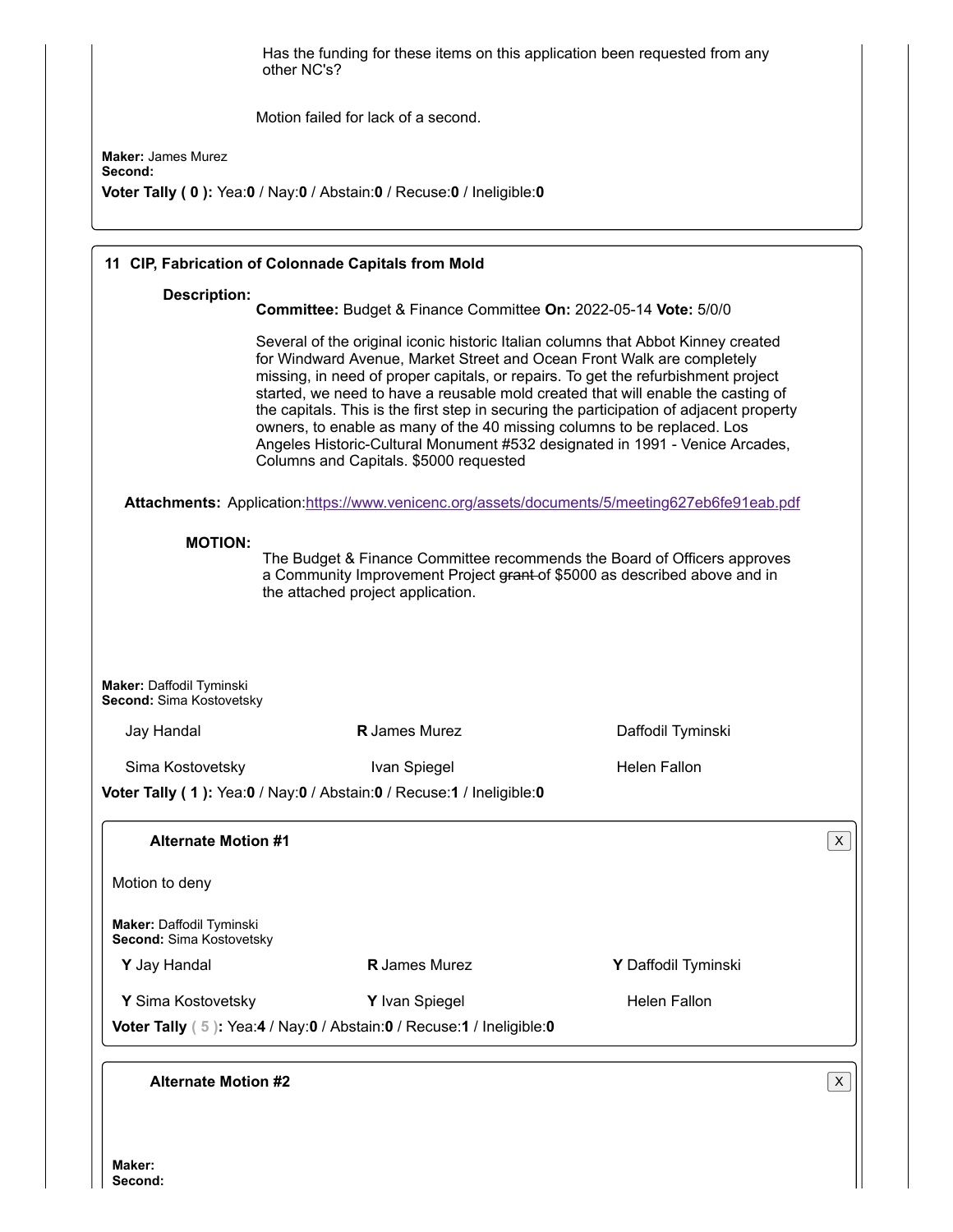|                                                      | Has the funding for these items on this application been requested from any<br>other NC's?                                                                                                                                                                                                                                                                                                                                                                                                                                                                                                                                           |                     |             |
|------------------------------------------------------|--------------------------------------------------------------------------------------------------------------------------------------------------------------------------------------------------------------------------------------------------------------------------------------------------------------------------------------------------------------------------------------------------------------------------------------------------------------------------------------------------------------------------------------------------------------------------------------------------------------------------------------|---------------------|-------------|
|                                                      | Motion failed for lack of a second.                                                                                                                                                                                                                                                                                                                                                                                                                                                                                                                                                                                                  |                     |             |
| <b>Maker: James Murez</b><br>Second:                 |                                                                                                                                                                                                                                                                                                                                                                                                                                                                                                                                                                                                                                      |                     |             |
|                                                      | Voter Tally (0): Yea:0 / Nay:0 / Abstain:0 / Recuse:0 / Ineligible:0                                                                                                                                                                                                                                                                                                                                                                                                                                                                                                                                                                 |                     |             |
|                                                      | 11 CIP, Fabrication of Colonnade Capitals from Mold                                                                                                                                                                                                                                                                                                                                                                                                                                                                                                                                                                                  |                     |             |
| <b>Description:</b>                                  | Committee: Budget & Finance Committee On: 2022-05-14 Vote: 5/0/0                                                                                                                                                                                                                                                                                                                                                                                                                                                                                                                                                                     |                     |             |
|                                                      | Several of the original iconic historic Italian columns that Abbot Kinney created<br>for Windward Avenue, Market Street and Ocean Front Walk are completely<br>missing, in need of proper capitals, or repairs. To get the refurbishment project<br>started, we need to have a reusable mold created that will enable the casting of<br>the capitals. This is the first step in securing the participation of adjacent property<br>owners, to enable as many of the 40 missing columns to be replaced. Los<br>Angeles Historic-Cultural Monument #532 designated in 1991 - Venice Arcades,<br>Columns and Capitals. \$5000 requested |                     |             |
|                                                      | Attachments: Application:https://www.venicenc.org/assets/documents/5/meeting627eb6fe91eab.pdf                                                                                                                                                                                                                                                                                                                                                                                                                                                                                                                                        |                     | $\mathsf X$ |
| <b>MOTION:</b><br>Maker: Daffodil Tyminski           | The Budget & Finance Committee recommends the Board of Officers approves<br>a Community Improvement Project grant of \$5000 as described above and in<br>the attached project application.                                                                                                                                                                                                                                                                                                                                                                                                                                           |                     |             |
| Second: Sima Kostovetsky<br>Jay Handal               | <b>R</b> James Murez                                                                                                                                                                                                                                                                                                                                                                                                                                                                                                                                                                                                                 | Daffodil Tyminski   |             |
|                                                      |                                                                                                                                                                                                                                                                                                                                                                                                                                                                                                                                                                                                                                      |                     |             |
| Sima Kostovetsky                                     | Ivan Spiegel<br>Voter Tally (1): Yea:0 / Nay:0 / Abstain:0 / Recuse:1 / Ineligible:0                                                                                                                                                                                                                                                                                                                                                                                                                                                                                                                                                 | <b>Helen Fallon</b> |             |
| <b>Alternate Motion #1</b>                           |                                                                                                                                                                                                                                                                                                                                                                                                                                                                                                                                                                                                                                      |                     |             |
| Motion to deny                                       |                                                                                                                                                                                                                                                                                                                                                                                                                                                                                                                                                                                                                                      |                     |             |
| Maker: Daffodil Tyminski<br>Second: Sima Kostovetsky |                                                                                                                                                                                                                                                                                                                                                                                                                                                                                                                                                                                                                                      |                     |             |
| Y Jay Handal                                         | <b>R</b> James Murez                                                                                                                                                                                                                                                                                                                                                                                                                                                                                                                                                                                                                 | Y Daffodil Tyminski |             |
| Y Sima Kostovetsky                                   | Y Ivan Spiegel                                                                                                                                                                                                                                                                                                                                                                                                                                                                                                                                                                                                                       | <b>Helen Fallon</b> |             |
|                                                      | Voter Tally (5): Yea:4 / Nay:0 / Abstain:0 / Recuse:1 / Ineligible:0                                                                                                                                                                                                                                                                                                                                                                                                                                                                                                                                                                 |                     |             |
| <b>Alternate Motion #2</b>                           |                                                                                                                                                                                                                                                                                                                                                                                                                                                                                                                                                                                                                                      |                     | X           |
|                                                      |                                                                                                                                                                                                                                                                                                                                                                                                                                                                                                                                                                                                                                      |                     |             |

Ш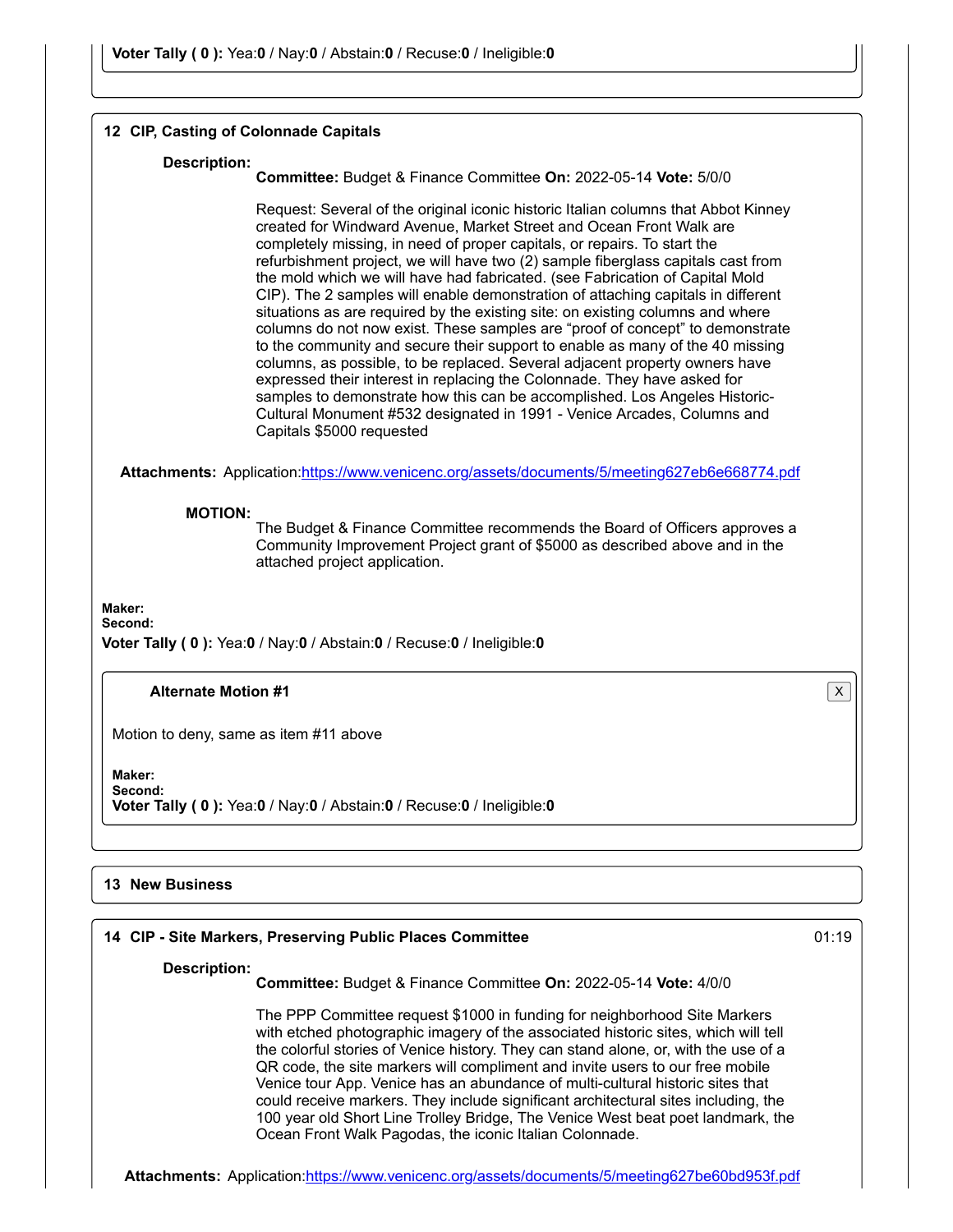#### **12 CIP, Casting of Colonnade Capitals**

#### **Description:**

**Committee:** Budget & Finance Committee **On:** 2022-05-14 **Vote:** 5/0/0

Request: Several of the original iconic historic Italian columns that Abbot Kinney created for Windward Avenue, Market Street and Ocean Front Walk are completely missing, in need of proper capitals, or repairs. To start the refurbishment project, we will have two (2) sample fiberglass capitals cast from the mold which we will have had fabricated. (see Fabrication of Capital Mold CIP). The 2 samples will enable demonstration of attaching capitals in different situations as are required by the existing site: on existing columns and where columns do not now exist. These samples are "proof of concept" to demonstrate to the community and secure their support to enable as many of the 40 missing columns, as possible, to be replaced. Several adjacent property owners have expressed their interest in replacing the Colonnade. They have asked for samples to demonstrate how this can be accomplished. Los Angeles Historic-Cultural Monument #532 designated in 1991 - Venice Arcades, Columns and Capitals \$5000 requested

**Attachments:** Application:<https://www.venicenc.org/assets/documents/5/meeting627eb6e668774.pdf>

#### **MOTION:**

The Budget & Finance Committee recommends the Board of Officers approves a Community Improvement Project grant of \$5000 as described above and in the attached project application.

**Maker:**

**Second:**

**Voter Tally ( 0 ):** Yea:**0** / Nay:**0** / Abstain:**0** / Recuse:**0** / Ineligible:**0**

#### **Alternate Motion #1** X

Motion to deny, same as item #11 above

**Maker: Second:**

**Voter Tally ( 0 ):** Yea:**0** / Nay:**0** / Abstain:**0** / Recuse:**0** / Ineligible:**0**

#### **13 New Business**

# **14 CIP - Site Markers, Preserving Public Places Committee** 01:19

#### **Description:**

**Committee:** Budget & Finance Committee **On:** 2022-05-14 **Vote:** 4/0/0

The PPP Committee request \$1000 in funding for neighborhood Site Markers with etched photographic imagery of the associated historic sites, which will tell the colorful stories of Venice history. They can stand alone, or, with the use of a QR code, the site markers will compliment and invite users to our free mobile Venice tour App. Venice has an abundance of multi-cultural historic sites that could receive markers. They include significant architectural sites including, the 100 year old Short Line Trolley Bridge, The Venice West beat poet landmark, the Ocean Front Walk Pagodas, the iconic Italian Colonnade.

**Attachments:** Application:<https://www.venicenc.org/assets/documents/5/meeting627be60bd953f.pdf>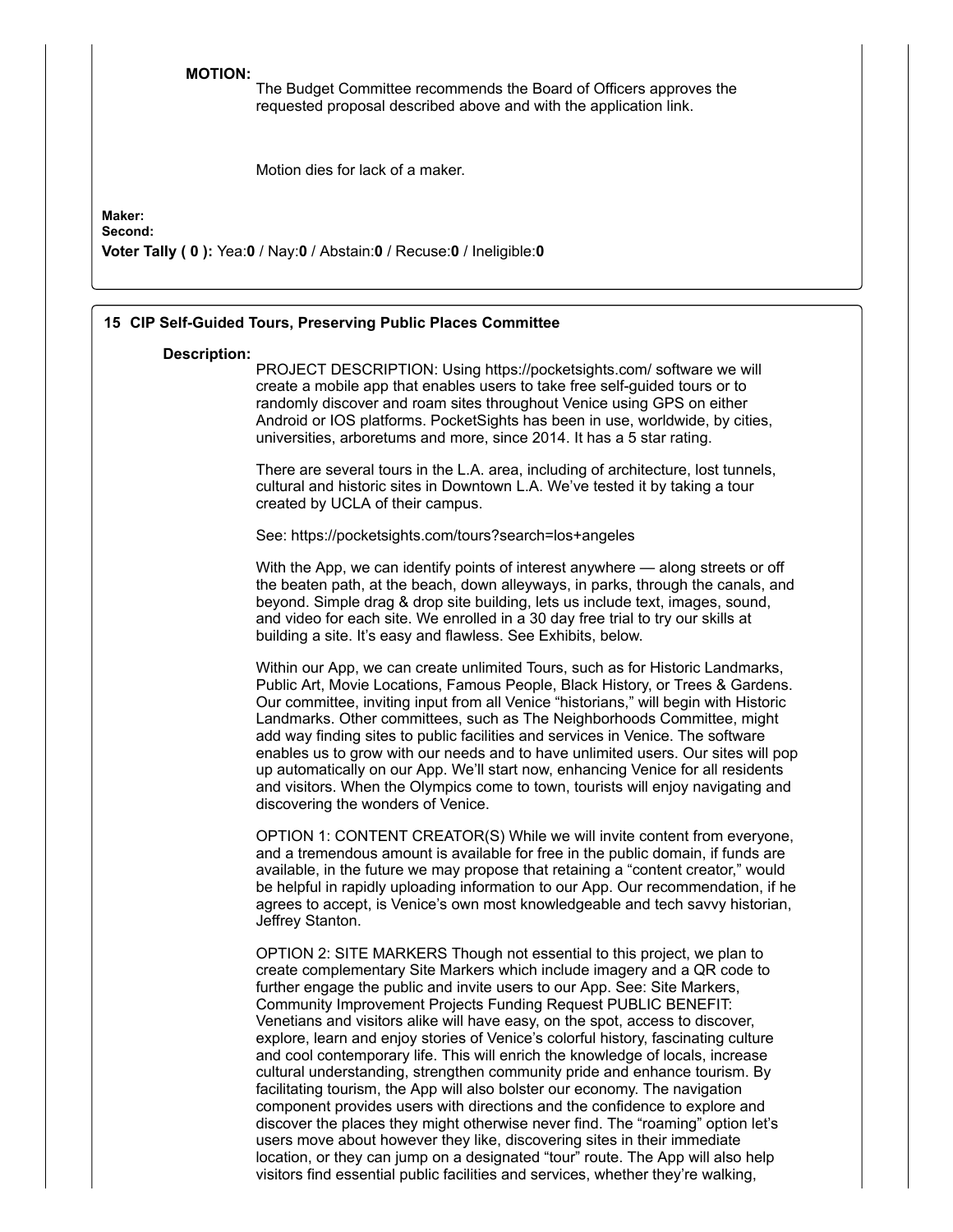**MOTION:**

The Budget Committee recommends the Board of Officers approves the requested proposal described above and with the application link.

Motion dies for lack of a maker.

# **Maker:**

**Second:**

**Voter Tally ( 0 ):** Yea:**0** / Nay:**0** / Abstain:**0** / Recuse:**0** / Ineligible:**0**

|                     | 15 CIP Self-Guided Tours, Preserving Public Places Committee                                                                                                                                                                                                                                                                                                                                                                                                                                                                                                                                                                                                                                                                                                                                                                                                                                                                                                                                                                                                                                                                                 |
|---------------------|----------------------------------------------------------------------------------------------------------------------------------------------------------------------------------------------------------------------------------------------------------------------------------------------------------------------------------------------------------------------------------------------------------------------------------------------------------------------------------------------------------------------------------------------------------------------------------------------------------------------------------------------------------------------------------------------------------------------------------------------------------------------------------------------------------------------------------------------------------------------------------------------------------------------------------------------------------------------------------------------------------------------------------------------------------------------------------------------------------------------------------------------|
| <b>Description:</b> | PROJECT DESCRIPTION: Using https://pocketsights.com/ software we will<br>create a mobile app that enables users to take free self-guided tours or to<br>randomly discover and roam sites throughout Venice using GPS on either<br>Android or IOS platforms. PocketSights has been in use, worldwide, by cities,<br>universities, arboretums and more, since 2014. It has a 5 star rating.                                                                                                                                                                                                                                                                                                                                                                                                                                                                                                                                                                                                                                                                                                                                                    |
|                     | There are several tours in the L.A. area, including of architecture, lost tunnels,<br>cultural and historic sites in Downtown L.A. We've tested it by taking a tour<br>created by UCLA of their campus.                                                                                                                                                                                                                                                                                                                                                                                                                                                                                                                                                                                                                                                                                                                                                                                                                                                                                                                                      |
|                     | See: https://pocketsights.com/tours?search=los+angeles                                                                                                                                                                                                                                                                                                                                                                                                                                                                                                                                                                                                                                                                                                                                                                                                                                                                                                                                                                                                                                                                                       |
|                     | With the App, we can identify points of interest anywhere — along streets or off<br>the beaten path, at the beach, down alleyways, in parks, through the canals, and<br>beyond. Simple drag & drop site building, lets us include text, images, sound,<br>and video for each site. We enrolled in a 30 day free trial to try our skills at<br>building a site. It's easy and flawless. See Exhibits, below.                                                                                                                                                                                                                                                                                                                                                                                                                                                                                                                                                                                                                                                                                                                                  |
|                     | Within our App, we can create unlimited Tours, such as for Historic Landmarks,<br>Public Art, Movie Locations, Famous People, Black History, or Trees & Gardens.<br>Our committee, inviting input from all Venice "historians," will begin with Historic<br>Landmarks. Other committees, such as The Neighborhoods Committee, might<br>add way finding sites to public facilities and services in Venice. The software<br>enables us to grow with our needs and to have unlimited users. Our sites will pop<br>up automatically on our App. We'll start now, enhancing Venice for all residents<br>and visitors. When the Olympics come to town, tourists will enjoy navigating and<br>discovering the wonders of Venice.                                                                                                                                                                                                                                                                                                                                                                                                                    |
|                     | OPTION 1: CONTENT CREATOR(S) While we will invite content from everyone,<br>and a tremendous amount is available for free in the public domain, if funds are<br>available, in the future we may propose that retaining a "content creator," would<br>be helpful in rapidly uploading information to our App. Our recommendation, if he<br>agrees to accept, is Venice's own most knowledgeable and tech savvy historian,<br>Jeffrey Stanton.                                                                                                                                                                                                                                                                                                                                                                                                                                                                                                                                                                                                                                                                                                 |
|                     | OPTION 2: SITE MARKERS Though not essential to this project, we plan to<br>create complementary Site Markers which include imagery and a QR code to<br>further engage the public and invite users to our App. See: Site Markers,<br>Community Improvement Projects Funding Request PUBLIC BENEFIT:<br>Venetians and visitors alike will have easy, on the spot, access to discover,<br>explore, learn and enjoy stories of Venice's colorful history, fascinating culture<br>and cool contemporary life. This will enrich the knowledge of locals, increase<br>cultural understanding, strengthen community pride and enhance tourism. By<br>facilitating tourism, the App will also bolster our economy. The navigation<br>component provides users with directions and the confidence to explore and<br>discover the places they might otherwise never find. The "roaming" option let's<br>users move about however they like, discovering sites in their immediate<br>location, or they can jump on a designated "tour" route. The App will also help<br>visitors find essential public facilities and services, whether they're walking, |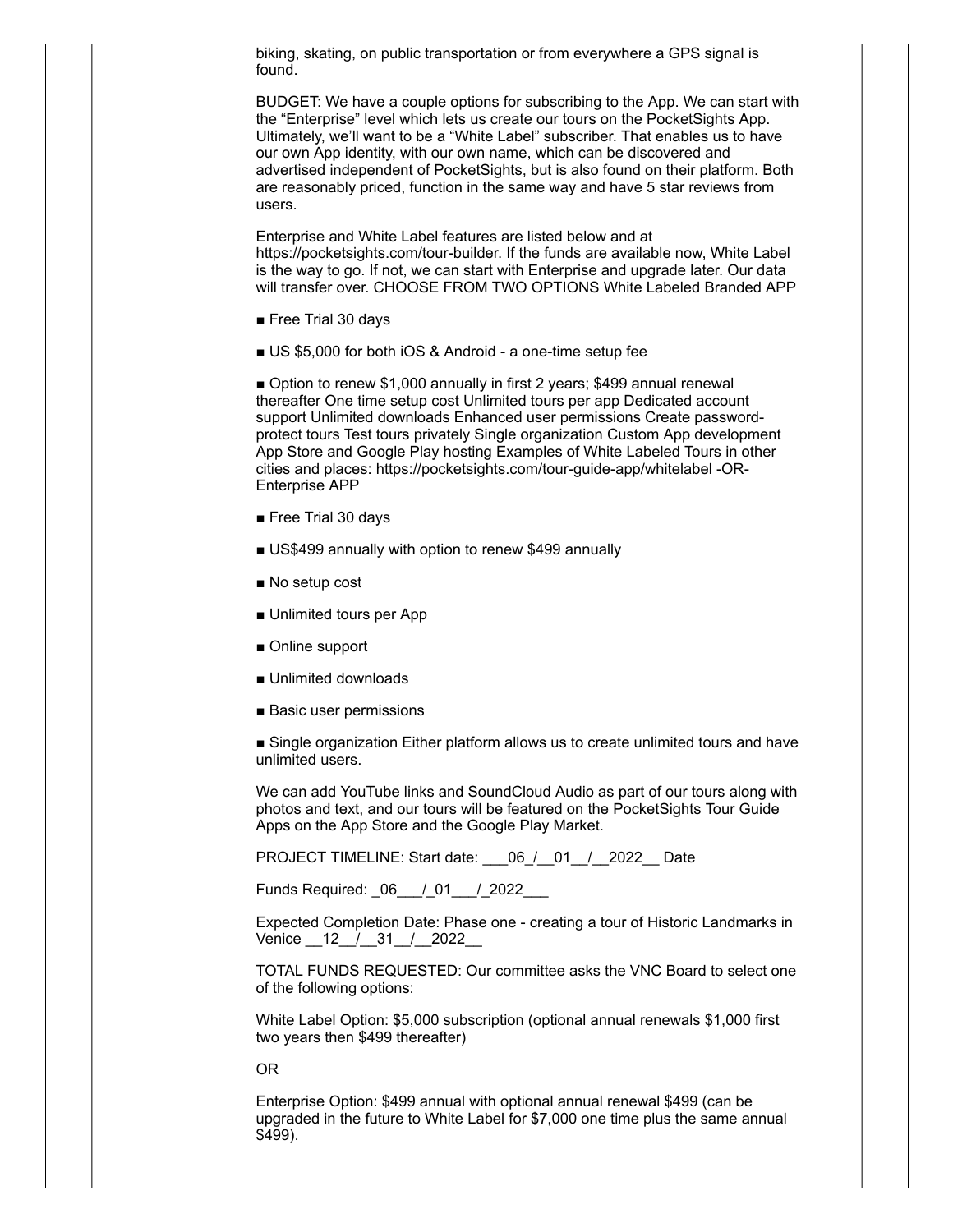biking, skating, on public transportation or from everywhere a GPS signal is found.

BUDGET: We have a couple options for subscribing to the App. We can start with the "Enterprise" level which lets us create our tours on the PocketSights App. Ultimately, we'll want to be a "White Label" subscriber. That enables us to have our own App identity, with our own name, which can be discovered and advertised independent of PocketSights, but is also found on their platform. Both are reasonably priced, function in the same way and have 5 star reviews from users.

Enterprise and White Label features are listed below and at https://pocketsights.com/tour-builder. If the funds are available now, White Label is the way to go. If not, we can start with Enterprise and upgrade later. Our data will transfer over. CHOOSE FROM TWO OPTIONS White Labeled Branded APP

- Free Trial 30 days
- US \$5,000 for both iOS & Android a one-time setup fee

■ Option to renew \$1,000 annually in first 2 years; \$499 annual renewal thereafter One time setup cost Unlimited tours per app Dedicated account support Unlimited downloads Enhanced user permissions Create passwordprotect tours Test tours privately Single organization Custom App development App Store and Google Play hosting Examples of White Labeled Tours in other cities and places: https://pocketsights.com/tour-guide-app/whitelabel -OR-Enterprise APP

- Free Trial 30 days
- US\$499 annually with option to renew \$499 annually
- No setup cost
- Unlimited tours per App
- Online support
- Unlimited downloads
- Basic user permissions

■ Single organization Either platform allows us to create unlimited tours and have unlimited users.

We can add YouTube links and SoundCloud Audio as part of our tours along with photos and text, and our tours will be featured on the PocketSights Tour Guide Apps on the App Store and the Google Play Market.

PROJECT TIMELINE: Start date:  $06 / 01 / 2022$  Date

Funds Required:  $06$  / 01 / 2022

Expected Completion Date: Phase one - creating a tour of Historic Landmarks in Venice  $12$  / 31 / 2022

TOTAL FUNDS REQUESTED: Our committee asks the VNC Board to select one of the following options:

White Label Option: \$5,000 subscription (optional annual renewals \$1,000 first two years then \$499 thereafter)

OR

Enterprise Option: \$499 annual with optional annual renewal \$499 (can be upgraded in the future to White Label for \$7,000 one time plus the same annual \$499).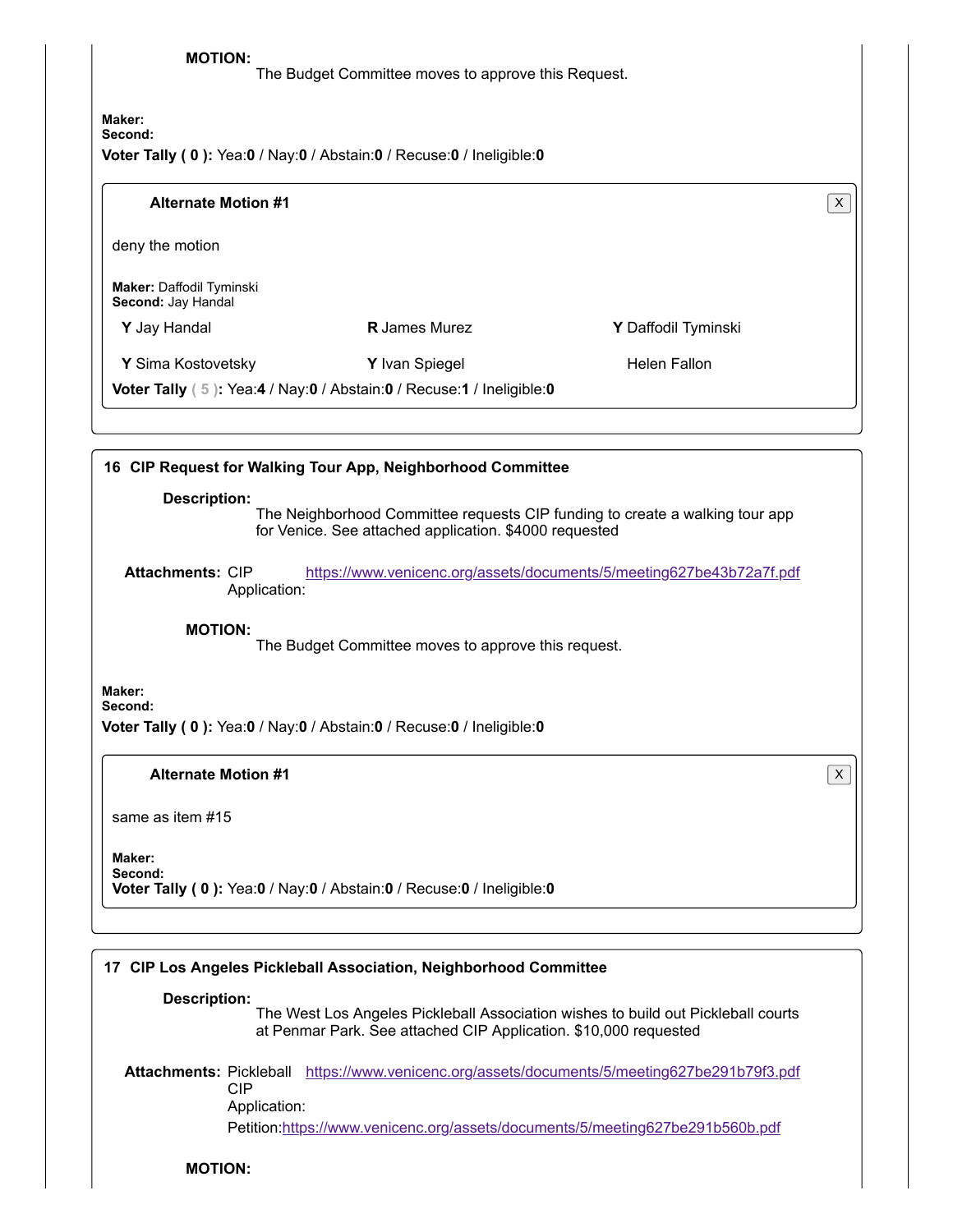**MOTION:** The Budget Committee moves to approve this Request.

**Maker: Second: Voter Tally ( 0 ):** Yea:**0** / Nay:**0** / Abstain:**0** / Recuse:**0** / Ineligible:**0**

# **Alternate Motion #1** X

deny the motion

**Maker:** Daffodil Tyminski **Second:** Jay Handal

**Y** Jay Handal **R** James Murez **Y** Daffodil Tyminski

**Y** Sima Kostovetsky **Y** Ivan Spiegel **Helen Fallon** Helen Fallon

**Voter Tally ( 5 ):** Yea:**4** / Nay:**0** / Abstain:**0** / Recuse:**1** / Ineligible:**0**

# **16 CIP Request for Walking Tour App, Neighborhood Committee**

### **Description:**

The Neighborhood Committee requests CIP funding to create a walking tour app for Venice. See attached application. \$4000 requested

**Attachments:** CIP Application: <https://www.venicenc.org/assets/documents/5/meeting627be43b72a7f.pdf>

**MOTION:**

The Budget Committee moves to approve this request.

**Maker: Second:**

**Voter Tally ( 0 ):** Yea:**0** / Nay:**0** / Abstain:**0** / Recuse:**0** / Ineligible:**0**

# **Alternate Motion #1** X

same as item #15

#### **Maker: Second:**

**Voter Tally ( 0 ):** Yea:**0** / Nay:**0** / Abstain:**0** / Recuse:**0** / Ineligible:**0**

# **17 CIP Los Angeles Pickleball Association, Neighborhood Committee**

# **Description:**

The West Los Angeles Pickleball Association wishes to build out Pickleball courts at Penmar Park. See attached CIP Application. \$10,000 requested

**Attachments:** Pickleball <https://www.venicenc.org/assets/documents/5/meeting627be291b79f3.pdf> CIP Application:

Petition[:https://www.venicenc.org/assets/documents/5/meeting627be291b560b.pdf](https://www.venicenc.org/assets/documents/5/meeting627be291b560b.pdf)

# **MOTION:**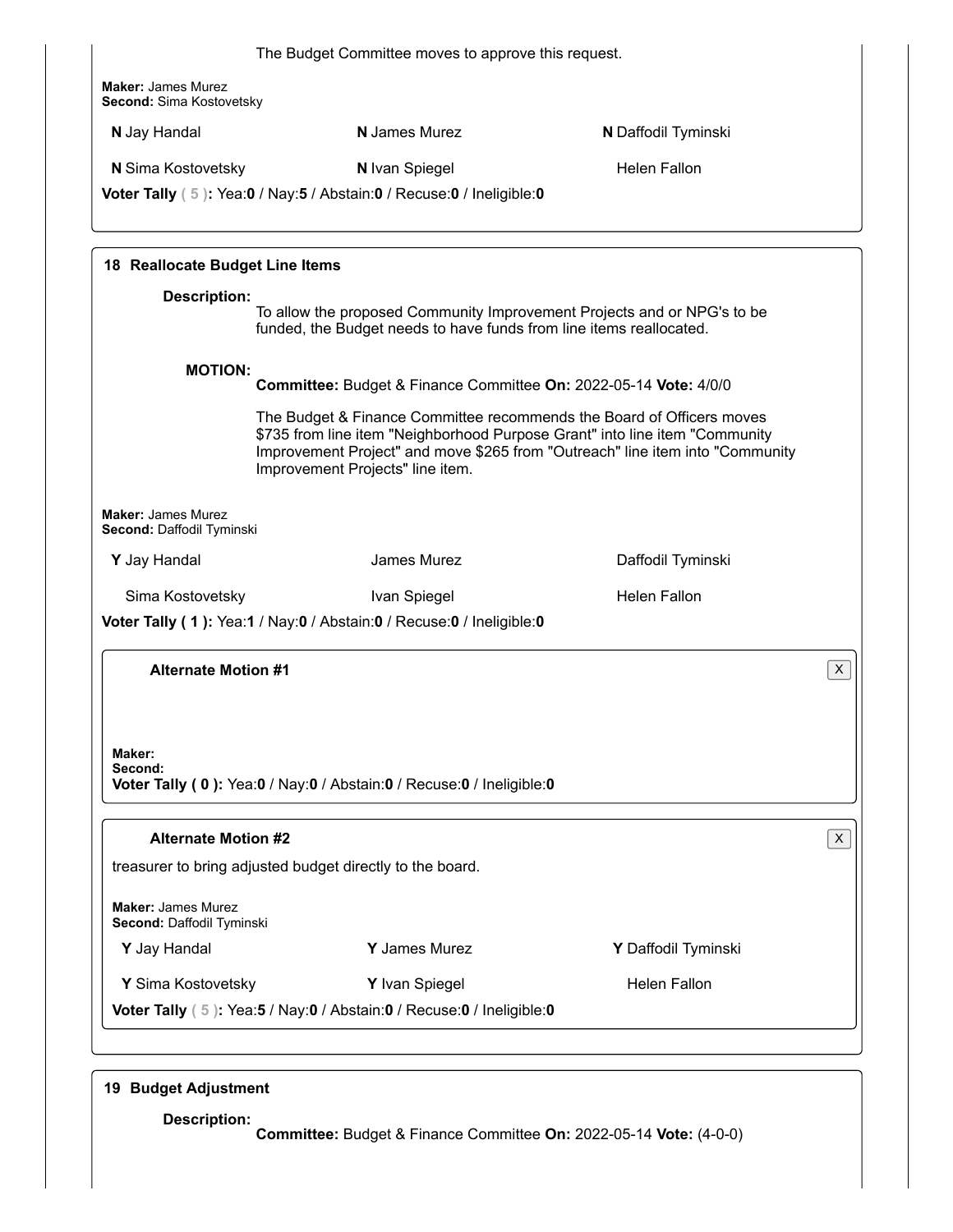|                                                           | The Budget Committee moves to approve this request.                                                                                                                                      |                                                                               |   |
|-----------------------------------------------------------|------------------------------------------------------------------------------------------------------------------------------------------------------------------------------------------|-------------------------------------------------------------------------------|---|
| <b>Maker: James Murez</b><br>Second: Sima Kostovetsky     |                                                                                                                                                                                          |                                                                               |   |
| N Jay Handal                                              | <b>N</b> James Murez                                                                                                                                                                     | N Daffodil Tyminski                                                           |   |
| <b>N</b> Sima Kostovetsky                                 | N Ivan Spiegel                                                                                                                                                                           | <b>Helen Fallon</b>                                                           |   |
|                                                           | Voter Tally (5): Yea:0 / Nay:5 / Abstain:0 / Recuse:0 / Ineligible:0                                                                                                                     |                                                                               |   |
| 18 Reallocate Budget Line Items                           |                                                                                                                                                                                          |                                                                               |   |
| <b>Description:</b>                                       | To allow the proposed Community Improvement Projects and or NPG's to be<br>funded, the Budget needs to have funds from line items reallocated.                                           |                                                                               |   |
| <b>MOTION:</b>                                            | Committee: Budget & Finance Committee On: 2022-05-14 Vote: 4/0/0                                                                                                                         |                                                                               |   |
|                                                           | The Budget & Finance Committee recommends the Board of Officers moves<br>\$735 from line item "Neighborhood Purpose Grant" into line item "Community<br>Improvement Projects" line item. | Improvement Project" and move \$265 from "Outreach" line item into "Community |   |
| <b>Maker: James Murez</b><br>Second: Daffodil Tyminski    |                                                                                                                                                                                          |                                                                               |   |
| Y Jay Handal                                              | James Murez                                                                                                                                                                              | Daffodil Tyminski                                                             |   |
| Sima Kostovetsky                                          | Ivan Spiegel                                                                                                                                                                             | <b>Helen Fallon</b>                                                           |   |
|                                                           | Voter Tally (1): Yea:1 / Nay:0 / Abstain:0 / Recuse:0 / Ineligible:0                                                                                                                     |                                                                               |   |
| <b>Alternate Motion #1</b>                                |                                                                                                                                                                                          |                                                                               | X |
|                                                           |                                                                                                                                                                                          |                                                                               |   |
|                                                           |                                                                                                                                                                                          |                                                                               |   |
|                                                           |                                                                                                                                                                                          |                                                                               |   |
| Maker:<br>Second:                                         |                                                                                                                                                                                          |                                                                               |   |
|                                                           | Voter Tally (0): Yea:0 / Nay:0 / Abstain:0 / Recuse:0 / Ineligible:0                                                                                                                     |                                                                               |   |
| <b>Alternate Motion #2</b>                                |                                                                                                                                                                                          |                                                                               | X |
| treasurer to bring adjusted budget directly to the board. |                                                                                                                                                                                          |                                                                               |   |
| <b>Maker: James Murez</b><br>Second: Daffodil Tyminski    |                                                                                                                                                                                          |                                                                               |   |
| Y Jay Handal                                              | Y James Murez                                                                                                                                                                            | Y Daffodil Tyminski                                                           |   |

# **19 Budget Adjustment**

**Description: Committee:** Budget & Finance Committee **On:** 2022-05-14 **Vote:** (4-0-0)